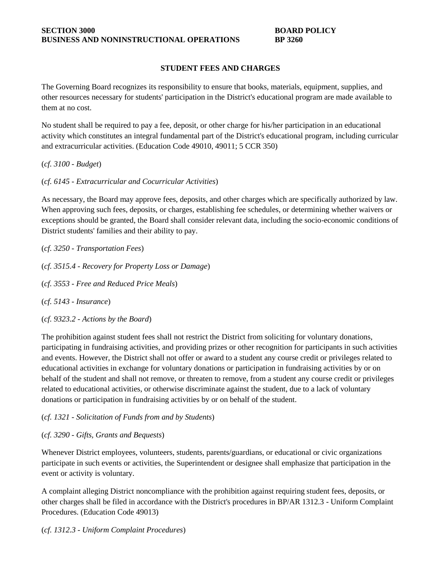#### **STUDENT FEES AND CHARGES**

The Governing Board recognizes its responsibility to ensure that books, materials, equipment, supplies, and other resources necessary for students' participation in the District's educational program are made available to them at no cost.

No student shall be required to pay a fee, deposit, or other charge for his/her participation in an educational activity which constitutes an integral fundamental part of the District's educational program, including curricular and extracurricular activities. (Education Code 49010, 49011; 5 CCR 350)

(*cf. 3100 - Budget*)

(*cf. 6145 - Extracurricular and Cocurricular Activities*)

As necessary, the Board may approve fees, deposits, and other charges which are specifically authorized by law. When approving such fees, deposits, or charges, establishing fee schedules, or determining whether waivers or exceptions should be granted, the Board shall consider relevant data, including the socio-economic conditions of District students' families and their ability to pay.

(*cf. 3250 - Transportation Fees*)

(*cf. 3515.4 - Recovery for Property Loss or Damage*)

(*cf. 3553 - Free and Reduced Price Meals*)

(*cf. 5143 - Insurance*)

(*cf. 9323.2 - Actions by the Board*)

The prohibition against student fees shall not restrict the District from soliciting for voluntary donations, participating in fundraising activities, and providing prizes or other recognition for participants in such activities and events. However, the District shall not offer or award to a student any course credit or privileges related to educational activities in exchange for voluntary donations or participation in fundraising activities by or on behalf of the student and shall not remove, or threaten to remove, from a student any course credit or privileges related to educational activities, or otherwise discriminate against the student, due to a lack of voluntary donations or participation in fundraising activities by or on behalf of the student.

#### (*cf. 1321 - Solicitation of Funds from and by Students*)

### (*cf. 3290 - Gifts, Grants and Bequests*)

Whenever District employees, volunteers, students, parents/guardians, or educational or civic organizations participate in such events or activities, the Superintendent or designee shall emphasize that participation in the event or activity is voluntary.

A complaint alleging District noncompliance with the prohibition against requiring student fees, deposits, or other charges shall be filed in accordance with the District's procedures in BP/AR 1312.3 - Uniform Complaint Procedures. (Education Code 49013)

(*cf. 1312.3 - Uniform Complaint Procedures*)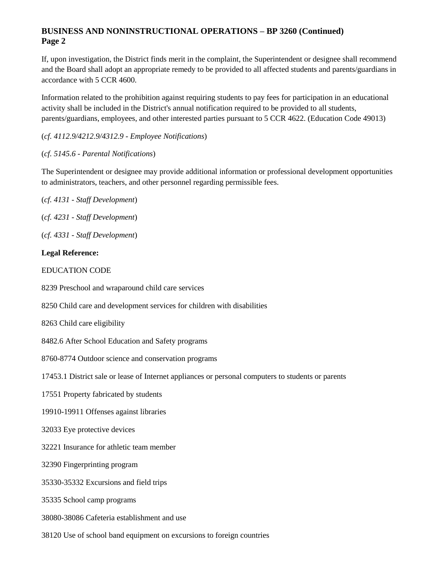# **BUSINESS AND NONINSTRUCTIONAL OPERATIONS – BP 3260 (Continued) Page 2**

If, upon investigation, the District finds merit in the complaint, the Superintendent or designee shall recommend and the Board shall adopt an appropriate remedy to be provided to all affected students and parents/guardians in accordance with 5 CCR 4600.

Information related to the prohibition against requiring students to pay fees for participation in an educational activity shall be included in the District's annual notification required to be provided to all students, parents/guardians, employees, and other interested parties pursuant to 5 CCR 4622. (Education Code 49013)

(*cf. 4112.9/4212.9/4312.9 - Employee Notifications*)

(*cf. 5145.6 - Parental Notifications*)

The Superintendent or designee may provide additional information or professional development opportunities to administrators, teachers, and other personnel regarding permissible fees.

- (*cf. 4131 - Staff Development*)
- (*cf. 4231 - Staff Development*)
- (*cf. 4331 - Staff Development*)

### **Legal Reference:**

- EDUCATION CODE
- 8239 Preschool and wraparound child care services
- 8250 Child care and development services for children with disabilities
- 8263 Child care eligibility
- 8482.6 After School Education and Safety programs
- 8760-8774 Outdoor science and conservation programs
- 17453.1 District sale or lease of Internet appliances or personal computers to students or parents
- 17551 Property fabricated by students
- 19910-19911 Offenses against libraries
- 32033 Eye protective devices
- 32221 Insurance for athletic team member
- 32390 Fingerprinting program
- 35330-35332 Excursions and field trips
- 35335 School camp programs
- 38080-38086 Cafeteria establishment and use
- 38120 Use of school band equipment on excursions to foreign countries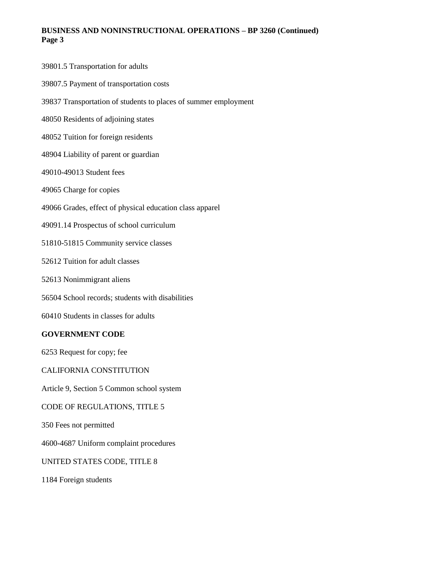### **BUSINESS AND NONINSTRUCTIONAL OPERATIONS – BP 3260 (Continued) Page 3**

| 39801.5 Transportation for adults                               |
|-----------------------------------------------------------------|
| 39807.5 Payment of transportation costs                         |
| 39837 Transportation of students to places of summer employment |
| 48050 Residents of adjoining states                             |
| 48052 Tuition for foreign residents                             |
| 48904 Liability of parent or guardian                           |
| 49010-49013 Student fees                                        |
| 49065 Charge for copies                                         |
| 49066 Grades, effect of physical education class apparel        |
| 49091.14 Prospectus of school curriculum                        |
| 51810-51815 Community service classes                           |
| 52612 Tuition for adult classes                                 |
| 52613 Nonimmigrant aliens                                       |
| 56504 School records; students with disabilities                |
| 60410 Students in classes for adults                            |
| <b>GOVERNMENT CODE</b>                                          |
| 6253 Request for copy; fee                                      |
| <b>CALIFORNIA CONSTITUTION</b>                                  |
| Article 9, Section 5 Common school system                       |
| CODE OF REGULATIONS, TITLE 5                                    |
| 350 Fees not permitted                                          |
| 4600-4687 Uniform complaint procedures                          |
| UNITED STATES CODE, TITLE 8                                     |
|                                                                 |

1184 Foreign students